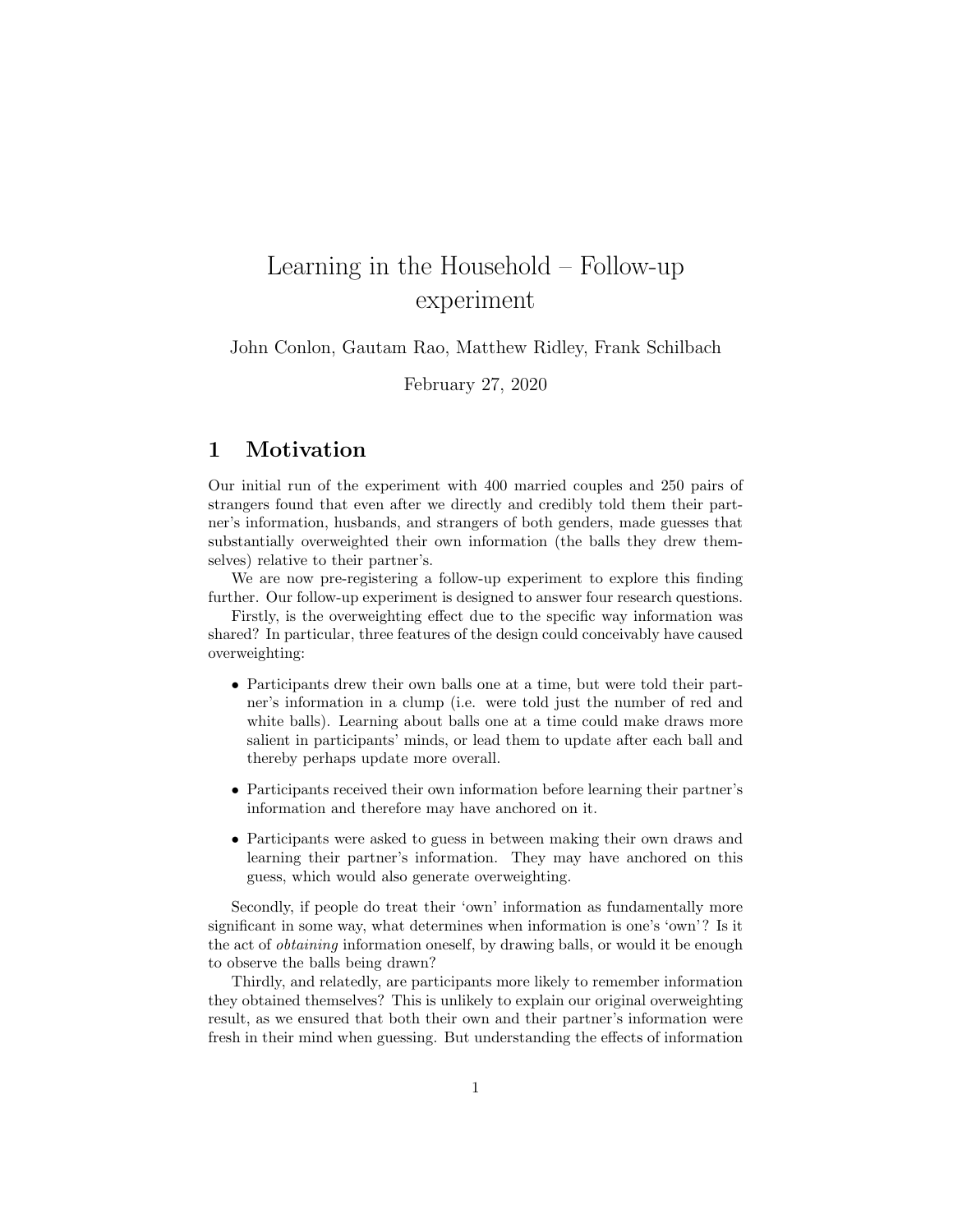## Learning in the Household – Follow-up experiment

John Conlon, Gautam Rao, Matthew Ridley, Frank Schilbach

February 27, 2020

## 1 Motivation

Our initial run of the experiment with 400 married couples and 250 pairs of strangers found that even after we directly and credibly told them their partner's information, husbands, and strangers of both genders, made guesses that substantially overweighted their own information (the balls they drew themselves) relative to their partner's.

We are now pre-registering a follow-up experiment to explore this finding further. Our follow-up experiment is designed to answer four research questions.

Firstly, is the overweighting effect due to the specific way information was shared? In particular, three features of the design could conceivably have caused overweighting:

- Participants drew their own balls one at a time, but were told their partner's information in a clump (i.e. were told just the number of red and white balls). Learning about balls one at a time could make draws more salient in participants' minds, or lead them to update after each ball and thereby perhaps update more overall.
- Participants received their own information before learning their partner's information and therefore may have anchored on it.
- Participants were asked to guess in between making their own draws and learning their partner's information. They may have anchored on this guess, which would also generate overweighting.

Secondly, if people do treat their 'own' information as fundamentally more significant in some way, what determines when information is one's 'own'? Is it the act of obtaining information oneself, by drawing balls, or would it be enough to observe the balls being drawn?

Thirdly, and relatedly, are participants more likely to remember information they obtained themselves? This is unlikely to explain our original overweighting result, as we ensured that both their own and their partner's information were fresh in their mind when guessing. But understanding the effects of information